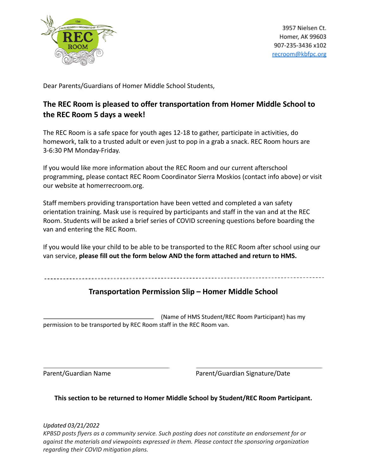

Dear Parents/Guardians of Homer Middle School Students,

# **The REC Room is pleased to offer transportation from Homer Middle School to the REC Room 5 days a week!**

The REC Room is a safe space for youth ages 12-18 to gather, participate in activities, do homework, talk to a trusted adult or even just to pop in a grab a snack. REC Room hours are 3-6:30 PM Monday-Friday.

If you would like more information about the REC Room and our current afterschool programming, please contact REC Room Coordinator Sierra Moskios (contact info above) or visit our website at homerrecroom.org.

Staff members providing transportation have been vetted and completed a van safety orientation training. Mask use is required by participants and staff in the van and at the REC Room. Students will be asked a brief series of COVID screening questions before boarding the van and entering the REC Room.

If you would like your child to be able to be transported to the REC Room after school using our van service, **please fill out the form below AND the form attached and return to HMS.**

## **Transportation Permission Slip – Homer Middle School**

(Name of HMS Student/REC Room Participant) has my permission to be transported by REC Room staff in the REC Room van.

Parent/Guardian Name **Parent/Guardian Signature/Date** 

**This section to be returned to Homer Middle School by Student/REC Room Participant.**

*Updated 03/21/2022*

*KPBSD posts flyers as a community service. Such posting does not constitute an endorsement for or against the materials and viewpoints expressed in them. Please contact the sponsoring organization regarding their COVID mitigation plans.*